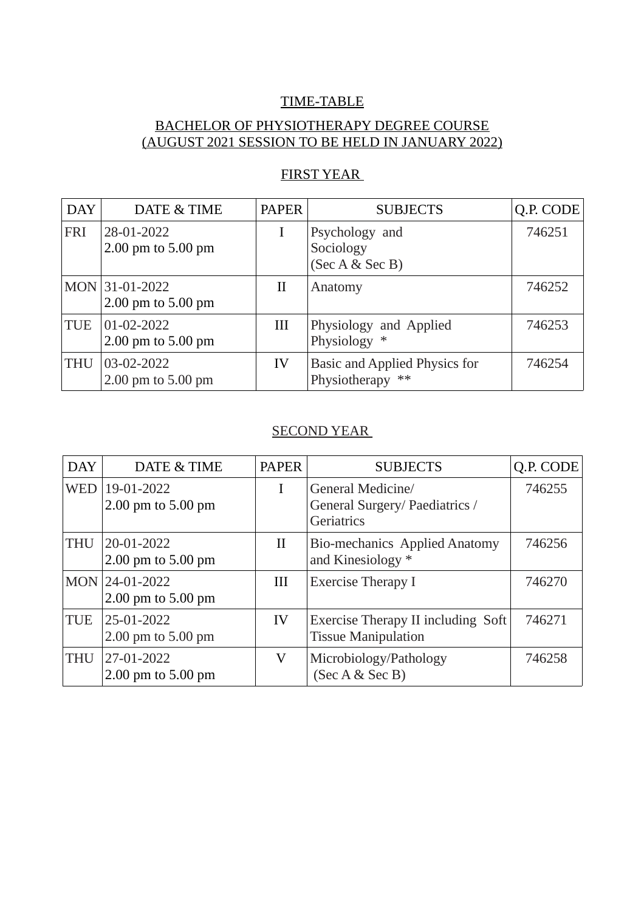#### TIME-TABLE

## BACHELOR OF PHYSIOTHERAPY DEGREE COURSE (AUGUST 2021 SESSION TO BE HELD IN JANUARY 2022)

| <b>DAY</b> | DATE & TIME                            | <b>PAPER</b> | <b>SUBJECTS</b>                                      | Q.P. CODE |
|------------|----------------------------------------|--------------|------------------------------------------------------|-----------|
| <b>FRI</b> | 28-01-2022<br>2.00 pm to 5.00 pm       |              | Psychology and<br>Sociology<br>(Sec A & Sec B)       | 746251    |
|            | MON 31-01-2022<br>2.00 pm to 5.00 pm   | $_{\rm II}$  | Anatomy                                              | 746252    |
| TUE        | $01 - 02 - 2022$<br>2.00 pm to 5.00 pm | III          | Physiology and Applied<br>Physiology<br>∗            | 746253    |
| <b>THU</b> | 03-02-2022<br>2.00 pm to 5.00 pm       | IV           | Basic and Applied Physics for<br>Physiotherapy<br>** | 746254    |

## FIRST YEAR

#### SECOND YEAR

| <b>DAY</b> | DATE & TIME                          | <b>PAPER</b> | <b>SUBJECTS</b>                                                   | Q.P. CODE |
|------------|--------------------------------------|--------------|-------------------------------------------------------------------|-----------|
| <b>WED</b> | 19-01-2022<br>2.00 pm to 5.00 pm     |              | General Medicine/<br>General Surgery/ Paediatrics /<br>Geriatrics | 746255    |
| <b>THU</b> | 20-01-2022<br>$2.00$ pm to $5.00$ pm | $\rm II$     | <b>Bio-mechanics Applied Anatomy</b><br>and Kinesiology *         | 746256    |
|            | MON 24-01-2022<br>2.00 pm to 5.00 pm | III          | Exercise Therapy I                                                | 746270    |
| TUE        | 25-01-2022<br>2.00 pm to 5.00 pm     | IV           | Exercise Therapy II including Soft<br><b>Tissue Manipulation</b>  | 746271    |
| <b>THU</b> | 27-01-2022<br>$2.00$ pm to $5.00$ pm | V            | Microbiology/Pathology<br>(Sec A & Sec B)                         | 746258    |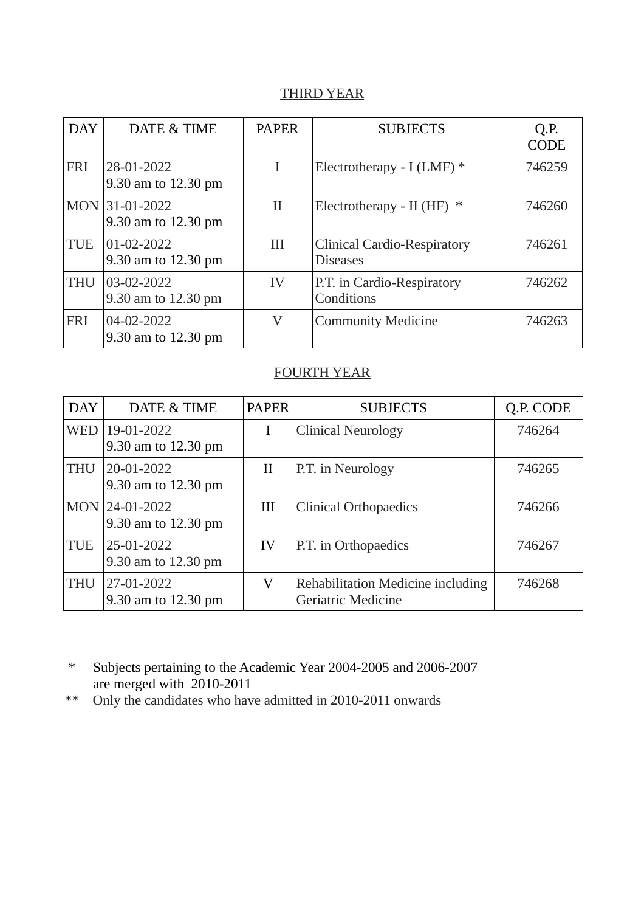## THIRD YEAR

| <b>DAY</b> | DATE & TIME                           | <b>PAPER</b> | <b>SUBJECTS</b>                                       | Q.P.<br><b>CODE</b> |
|------------|---------------------------------------|--------------|-------------------------------------------------------|---------------------|
| <b>FRI</b> | 28-01-2022<br>9.30 am to 12.30 pm     | L            | Electrotherapy - I (LMF) *                            | 746259              |
|            | MON 31-01-2022<br>9.30 am to 12.30 pm | $_{\rm II}$  | Electrotherapy - II (HF) $*$                          | 746260              |
| <b>TUE</b> | 01-02-2022<br>9.30 am to 12.30 pm     | Ш            | <b>Clinical Cardio-Respiratory</b><br><b>Diseases</b> | 746261              |
| <b>THU</b> | 03-02-2022<br>9.30 am to 12.30 pm     | IV           | P.T. in Cardio-Respiratory<br>Conditions              | 746262              |
| <b>FRI</b> | 04-02-2022<br>9.30 am to 12.30 pm     | $\rm V$      | <b>Community Medicine</b>                             | 746263              |

#### FOURTH YEAR

| <b>DAY</b> | DATE & TIME                       | <b>PAPER</b> | <b>SUBJECTS</b>                                                       | Q.P. CODE |
|------------|-----------------------------------|--------------|-----------------------------------------------------------------------|-----------|
| <b>WED</b> | 19-01-2022<br>9.30 am to 12.30 pm |              | <b>Clinical Neurology</b>                                             | 746264    |
| <b>THU</b> | 20-01-2022<br>9.30 am to 12.30 pm | $\rm II$     | P.T. in Neurology                                                     | 746265    |
| <b>MON</b> | 24-01-2022<br>9.30 am to 12.30 pm | III          | <b>Clinical Orthopaedics</b>                                          | 746266    |
| <b>TUE</b> | 25-01-2022<br>9.30 am to 12.30 pm | IV           | P.T. in Orthopaedics                                                  | 746267    |
| <b>THU</b> | 27-01-2022<br>9.30 am to 12.30 pm | V            | <b>Rehabilitation Medicine including</b><br><b>Geriatric Medicine</b> | 746268    |

 \* Subjects pertaining to the Academic Year 2004-2005 and 2006-2007 are merged with  $2010-2011$ <br>\*\* Only the candidates who have

Only the candidates who have admitted in 2010-2011 onwards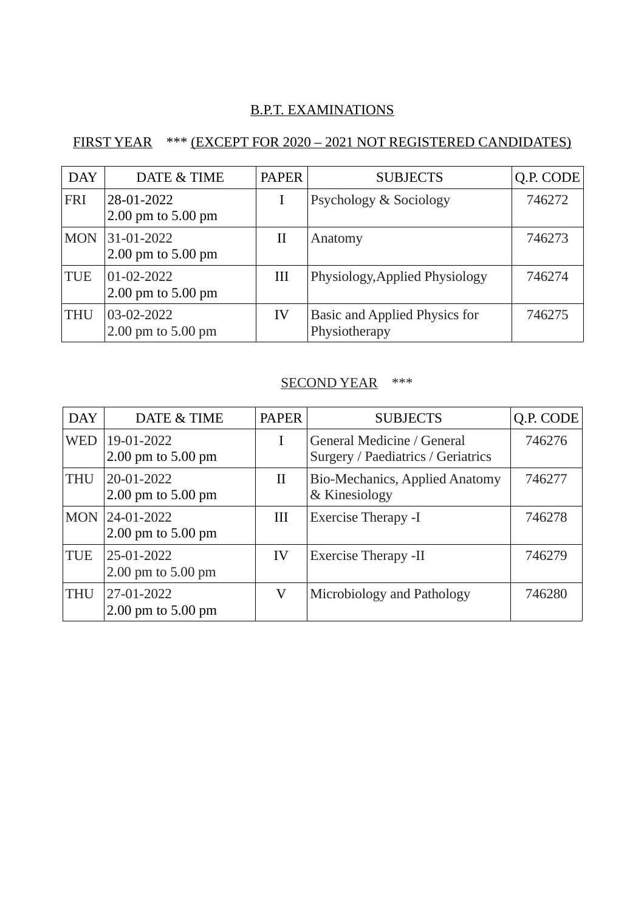## B.P.T. EXAMINATIONS

# FIRST YEAR \*\*\* (EXCEPT FOR 2020 – 2021 NOT REGISTERED CANDIDATES)

| <b>DAY</b> | DATE & TIME                          | <b>PAPER</b> | <b>SUBJECTS</b>                                | Q.P. CODE |
|------------|--------------------------------------|--------------|------------------------------------------------|-----------|
| <b>FRI</b> | 28-01-2022<br>2.00 pm to 5.00 pm     |              | Psychology & Sociology                         | 746272    |
| <b>MON</b> | 31-01-2022<br>2.00 pm to 5.00 pm     | $_{\rm II}$  | Anatomy                                        | 746273    |
| <b>TUE</b> | 01-02-2022<br>2.00 pm to 5.00 pm     | III          | Physiology, Applied Physiology                 | 746274    |
| <b>THU</b> | 03-02-2022<br>$2.00$ pm to $5.00$ pm | IV           | Basic and Applied Physics for<br>Physiotherapy | 746275    |

#### SECOND YEAR \*\*\*

| <b>DAY</b> | DATE & TIME                              | <b>PAPER</b> | <b>SUBJECTS</b>                                                  | Q.P. CODE |
|------------|------------------------------------------|--------------|------------------------------------------------------------------|-----------|
| <b>WED</b> | 19-01-2022<br>2.00 pm to 5.00 pm         | T            | General Medicine / General<br>Surgery / Paediatrics / Geriatrics | 746276    |
| <b>THU</b> | 20-01-2022<br>2.00 pm to 5.00 pm         | $\rm II$     | <b>Bio-Mechanics, Applied Anatomy</b><br>& Kinesiology           | 746277    |
| <b>MON</b> | $ 24 - 01 - 2022 $<br>2.00 pm to 5.00 pm | Ш            | <b>Exercise Therapy -I</b>                                       | 746278    |
| <b>TUE</b> | 25-01-2022<br>2.00 pm to 5.00 pm         | IV           | <b>Exercise Therapy -II</b>                                      | 746279    |
| <b>THU</b> | 27-01-2022<br>2.00 pm to 5.00 pm         | V            | Microbiology and Pathology                                       | 746280    |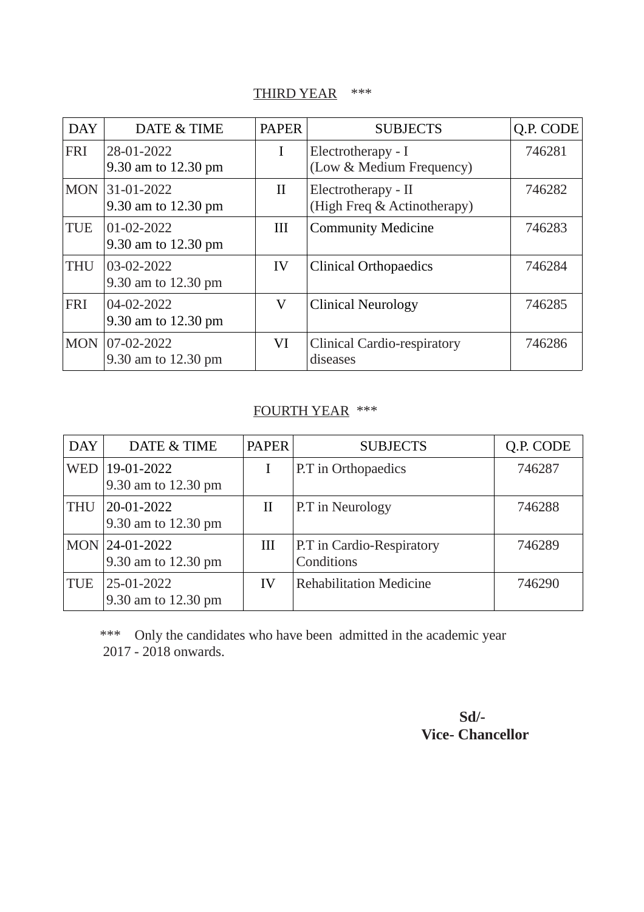# THIRD YEAR \*\*\*

| <b>DAY</b> | DATE & TIME                       | <b>PAPER</b> | <b>SUBJECTS</b>                                    | Q.P. CODE |
|------------|-----------------------------------|--------------|----------------------------------------------------|-----------|
| <b>FRI</b> | 28-01-2022<br>9.30 am to 12.30 pm | I            | Electrotherapy - I<br>(Low & Medium Frequency)     | 746281    |
| <b>MON</b> | 31-01-2022<br>9.30 am to 12.30 pm | $\rm II$     | Electrotherapy - II<br>(High Freq & Actinotherapy) | 746282    |
| <b>TUE</b> | 01-02-2022<br>9.30 am to 12.30 pm | III          | <b>Community Medicine</b>                          | 746283    |
| <b>THU</b> | 03-02-2022<br>9.30 am to 12.30 pm | IV           | <b>Clinical Orthopaedics</b>                       | 746284    |
| <b>FRI</b> | 04-02-2022<br>9.30 am to 12.30 pm | V            | <b>Clinical Neurology</b>                          | 746285    |
| <b>MON</b> | 07-02-2022<br>9.30 am to 12.30 pm | VI           | <b>Clinical Cardio-respiratory</b><br>diseases     | 746286    |

# FOURTH YEAR \*\*\*

| <b>DAY</b> | DATE & TIME                           | <b>PAPER</b> | <b>SUBJECTS</b>                         | Q.P. CODE |
|------------|---------------------------------------|--------------|-----------------------------------------|-----------|
| <b>WED</b> | 19-01-2022<br>9.30 am to 12.30 pm     |              | P.T in Orthopaedics                     | 746287    |
| <b>THU</b> | 20-01-2022<br>9.30 am to 12.30 pm     | $_{\rm II}$  | P.T in Neurology                        | 746288    |
|            | MON 24-01-2022<br>9.30 am to 12.30 pm | Ш            | P.T in Cardio-Respiratory<br>Conditions | 746289    |
| <b>TUE</b> | 25-01-2022<br>9.30 am to 12.30 pm     | IV           | <b>Rehabilitation Medicine</b>          | 746290    |

\*\*\* Only the candidates who have been admitted in the academic year 2017 - 2018 onwards.

# **Sd/- Vice- Chancellor**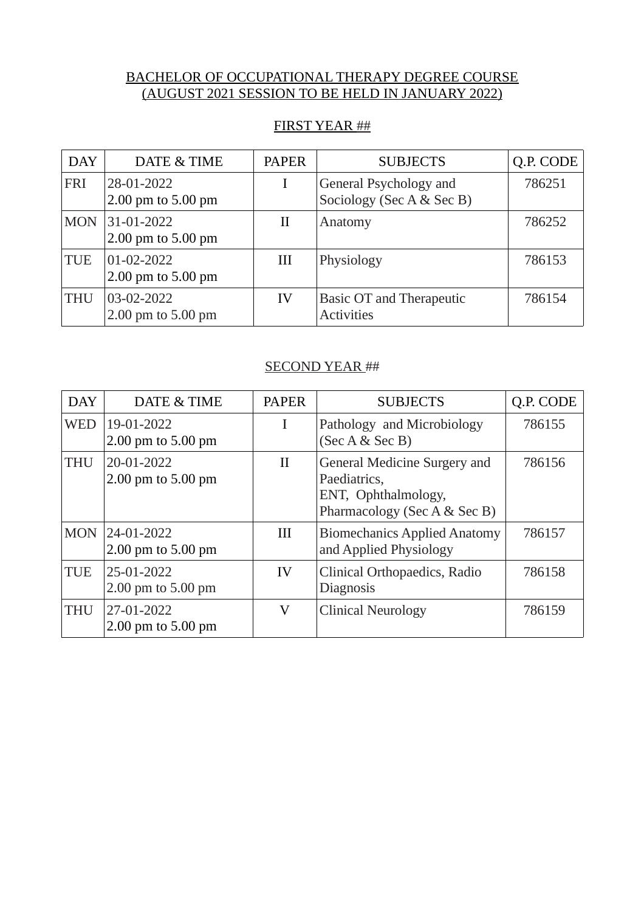#### BACHELOR OF OCCUPATIONAL THERAPY DEGREE COURSE (AUGUST 2021 SESSION TO BE HELD IN JANUARY 2022)

#### FIRST YEAR ##

| <b>DAY</b> | DATE & TIME                            | <b>PAPER</b> | <b>SUBJECTS</b>                                      | Q.P. CODE |
|------------|----------------------------------------|--------------|------------------------------------------------------|-----------|
| <b>FRI</b> | 28-01-2022<br>$2.00$ pm to $5.00$ pm   |              | General Psychology and<br>Sociology (Sec A & Sec B)  | 786251    |
| <b>MON</b> | 31-01-2022<br>$2.00$ pm to $5.00$ pm   | Н            | Anatomy                                              | 786252    |
| <b>TUE</b> | $01 - 02 - 2022$<br>2.00 pm to 5.00 pm | Ш            | Physiology                                           | 786153    |
| <b>THU</b> | 03-02-2022<br>$2.00$ pm to $5.00$ pm   | IV           | <b>Basic OT and Therapeutic</b><br><b>Activities</b> | 786154    |

#### SECOND YEAR ##

| <b>DAY</b> | DATE & TIME                          | <b>PAPER</b> | <b>SUBJECTS</b>                                                                                     | Q.P. CODE |
|------------|--------------------------------------|--------------|-----------------------------------------------------------------------------------------------------|-----------|
| <b>WED</b> | 19-01-2022<br>2.00 pm to 5.00 pm     | I            | Pathology and Microbiology<br>(Sec A & Sec B)                                                       | 786155    |
| <b>THU</b> | 20-01-2022<br>2.00 pm to 5.00 pm     | $\rm{II}$    | General Medicine Surgery and<br>Paediatrics,<br>ENT, Ophthalmology,<br>Pharmacology (Sec A & Sec B) | 786156    |
| <b>MON</b> | 24-01-2022<br>$2.00$ pm to $5.00$ pm | Ш            | <b>Biomechanics Applied Anatomy</b><br>and Applied Physiology                                       | 786157    |
| <b>TUE</b> | 25-01-2022<br>2.00 pm to 5.00 pm     | IV           | Clinical Orthopaedics, Radio<br>Diagnosis                                                           | 786158    |
| <b>THU</b> | 27-01-2022<br>$2.00$ pm to $5.00$ pm | V            | <b>Clinical Neurology</b>                                                                           | 786159    |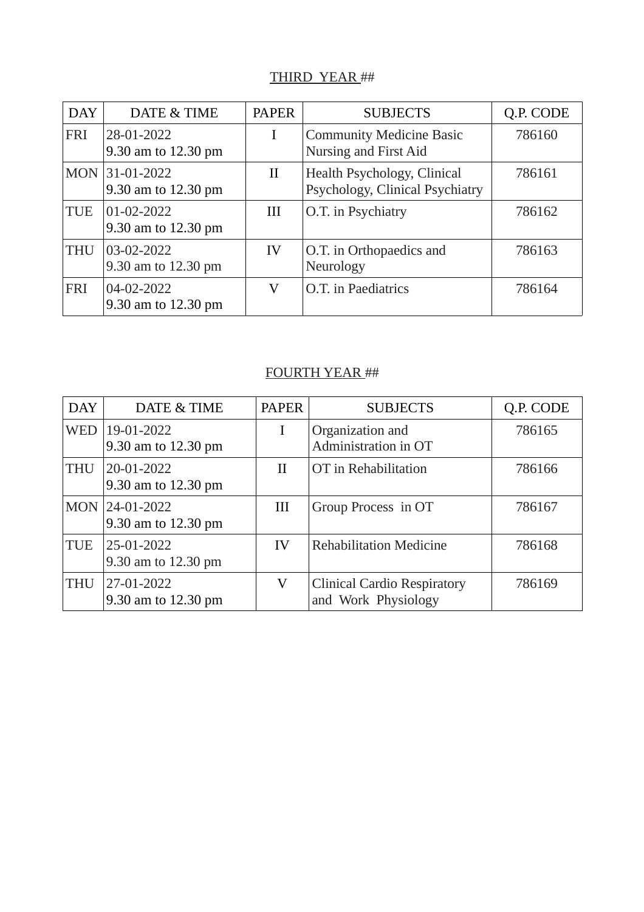### THIRD YEAR ##

| <b>DAY</b> | DATE & TIME                           | <b>PAPER</b> | <b>SUBJECTS</b>                                                | Q.P. CODE |
|------------|---------------------------------------|--------------|----------------------------------------------------------------|-----------|
| <b>FRI</b> | 28-01-2022<br>9.30 am to 12.30 pm     | I            | <b>Community Medicine Basic</b><br>Nursing and First Aid       | 786160    |
|            | MON 31-01-2022<br>9.30 am to 12.30 pm | $\rm II$     | Health Psychology, Clinical<br>Psychology, Clinical Psychiatry | 786161    |
| <b>TUE</b> | 01-02-2022<br>9.30 am to 12.30 pm     | Ш            | O.T. in Psychiatry                                             | 786162    |
| <b>THU</b> | 03-02-2022<br>9.30 am to 12.30 pm     | IV           | O.T. in Orthopaedics and<br>Neurology                          | 786163    |
| <b>FRI</b> | 04-02-2022<br>9.30 am to 12.30 pm     | V            | O.T. in Paediatrics                                            | 786164    |

#### FOURTH YEAR ##

| <b>DAY</b> | DATE & TIME                       | <b>PAPER</b> | <b>SUBJECTS</b>                                           | Q.P. CODE |
|------------|-----------------------------------|--------------|-----------------------------------------------------------|-----------|
| <b>WED</b> | 19-01-2022<br>9.30 am to 12.30 pm | I            | Organization and<br>Administration in OT                  | 786165    |
| <b>THU</b> | 20-01-2022<br>9.30 am to 12.30 pm | $\rm{II}$    | OT in Rehabilitation                                      | 786166    |
| <b>MON</b> | 24-01-2022<br>9.30 am to 12.30 pm | Ш            | Group Process in OT                                       | 786167    |
| <b>TUE</b> | 25-01-2022<br>9.30 am to 12.30 pm | IV           | <b>Rehabilitation Medicine</b>                            | 786168    |
| <b>THU</b> | 27-01-2022<br>9.30 am to 12.30 pm | V            | <b>Clinical Cardio Respiratory</b><br>and Work Physiology | 786169    |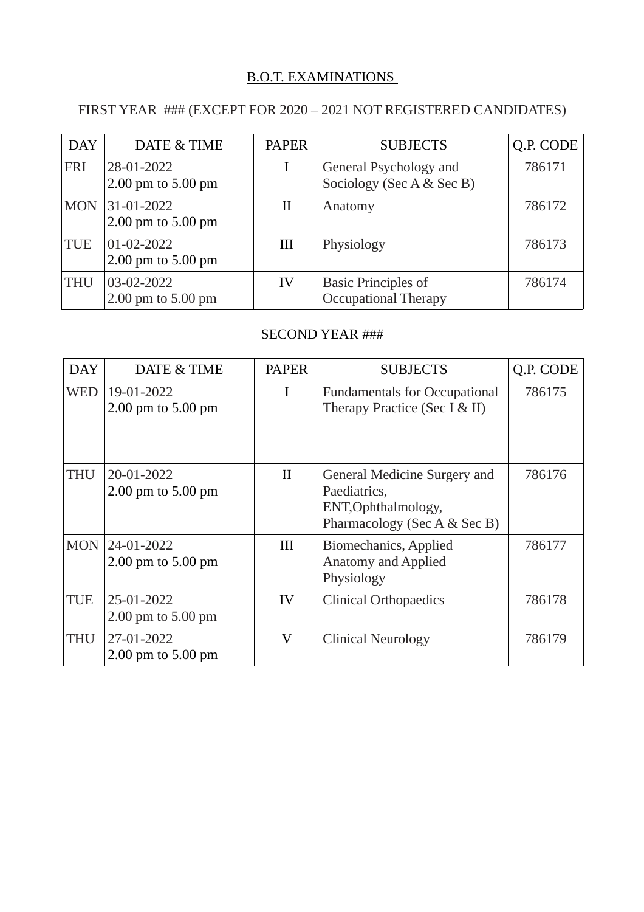#### B.O.T. EXAMINATIONS

### FIRST YEAR ### (EXCEPT FOR 2020 – 2021 NOT REGISTERED CANDIDATES)

| <b>DAY</b> | DATE & TIME                          | <b>PAPER</b> | <b>SUBJECTS</b>                                           | Q.P. CODE |
|------------|--------------------------------------|--------------|-----------------------------------------------------------|-----------|
| <b>FRI</b> | 28-01-2022<br>$2.00$ pm to $5.00$ pm |              | General Psychology and<br>Sociology (Sec A & Sec B)       | 786171    |
| <b>MON</b> | 31-01-2022<br>$2.00$ pm to $5.00$ pm | П            | Anatomy                                                   | 786172    |
| <b>TUE</b> | 01-02-2022<br>$2.00$ pm to $5.00$ pm | Ш            | Physiology                                                | 786173    |
| <b>THU</b> | 03-02-2022<br>2.00 pm to 5.00 pm     | IV           | <b>Basic Principles of</b><br><b>Occupational Therapy</b> | 786174    |

#### SECOND YEAR ###

| <b>DAY</b> | DATE & TIME                          | <b>PAPER</b> | <b>SUBJECTS</b>                                                                                     | Q.P. CODE |
|------------|--------------------------------------|--------------|-----------------------------------------------------------------------------------------------------|-----------|
| <b>WED</b> | 19-01-2022<br>2.00 pm to 5.00 pm     | I            | <b>Fundamentals for Occupational</b><br>Therapy Practice (Sec I & II)                               | 786175    |
| <b>THU</b> | 20-01-2022<br>2.00 pm to 5.00 pm     | $\mathbf{I}$ | General Medicine Surgery and<br>Paediatrics,<br>ENT, Ophthalmology,<br>Pharmacology (Sec A & Sec B) | 786176    |
| <b>MON</b> | 24-01-2022<br>$2.00$ pm to $5.00$ pm | III          | Biomechanics, Applied<br><b>Anatomy and Applied</b><br>Physiology                                   | 786177    |
| <b>TUE</b> | 25-01-2022<br>$2.00$ pm to $5.00$ pm | IV           | <b>Clinical Orthopaedics</b>                                                                        | 786178    |
| <b>THU</b> | 27-01-2022<br>2.00 pm to 5.00 pm     | V            | <b>Clinical Neurology</b>                                                                           | 786179    |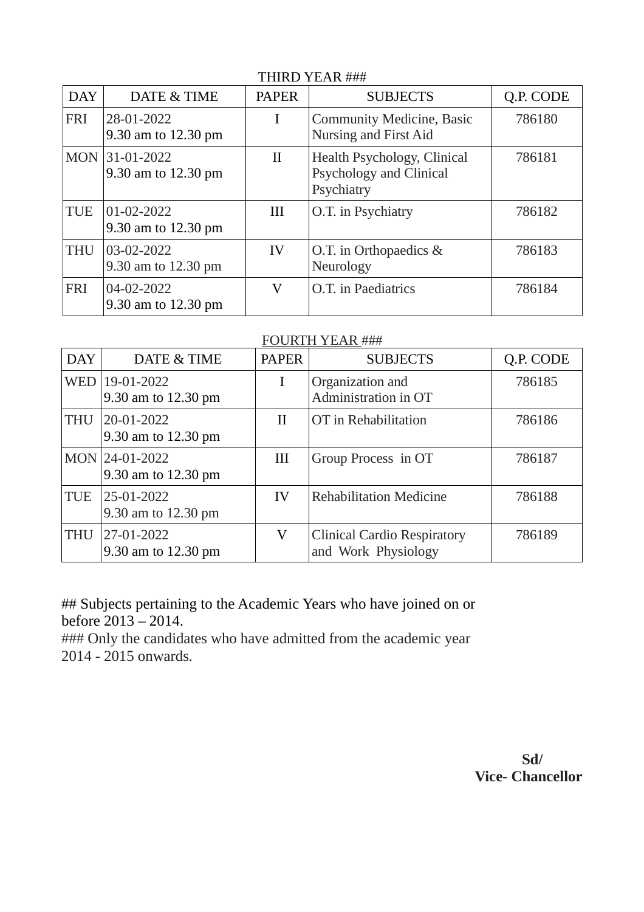| <b>DAY</b> | DATE & TIME                       | <b>PAPER</b> | <b>SUBJECTS</b>                                                             | Q.P. CODE |
|------------|-----------------------------------|--------------|-----------------------------------------------------------------------------|-----------|
| <b>FRI</b> | 28-01-2022<br>9.30 am to 12.30 pm | I            | Community Medicine, Basic<br>Nursing and First Aid                          | 786180    |
| <b>MON</b> | 31-01-2022<br>9.30 am to 12.30 pm | $\rm{II}$    | Health Psychology, Clinical<br><b>Psychology and Clinical</b><br>Psychiatry | 786181    |
| <b>TUE</b> | 01-02-2022<br>9.30 am to 12.30 pm | Ш            | O.T. in Psychiatry                                                          | 786182    |
| <b>THU</b> | 03-02-2022<br>9.30 am to 12.30 pm | IV           | O.T. in Orthopaedics &<br>Neurology                                         | 786183    |
| <b>FRI</b> | 04-02-2022<br>9.30 am to 12.30 pm | V            | O.T. in Paediatrics                                                         | 786184    |

## THIRD YEAR ###

#### FOURTH YEAR ###

| <b>DAY</b> | DATE & TIME                           | <b>PAPER</b> | <b>SUBJECTS</b>                                           | Q.P. CODE |
|------------|---------------------------------------|--------------|-----------------------------------------------------------|-----------|
| <b>WED</b> | 19-01-2022<br>9.30 am to 12.30 pm     | I            | Organization and<br>Administration in OT                  | 786185    |
| <b>THU</b> | 20-01-2022<br>9.30 am to 12.30 pm     | П            | OT in Rehabilitation                                      | 786186    |
|            | MON 24-01-2022<br>9.30 am to 12.30 pm | III          | Group Process in OT                                       | 786187    |
| <b>TUE</b> | 25-01-2022<br>9.30 am to 12.30 pm     | IV           | <b>Rehabilitation Medicine</b>                            | 786188    |
| <b>THU</b> | 27-01-2022<br>9.30 am to 12.30 pm     | V            | <b>Clinical Cardio Respiratory</b><br>and Work Physiology | 786189    |

## Subjects pertaining to the Academic Years who have joined on or before 2013 – 2014.

### Only the candidates who have admitted from the academic year 2014 - 2015 onwards.

> **Sd/ Vice- Chancellor**